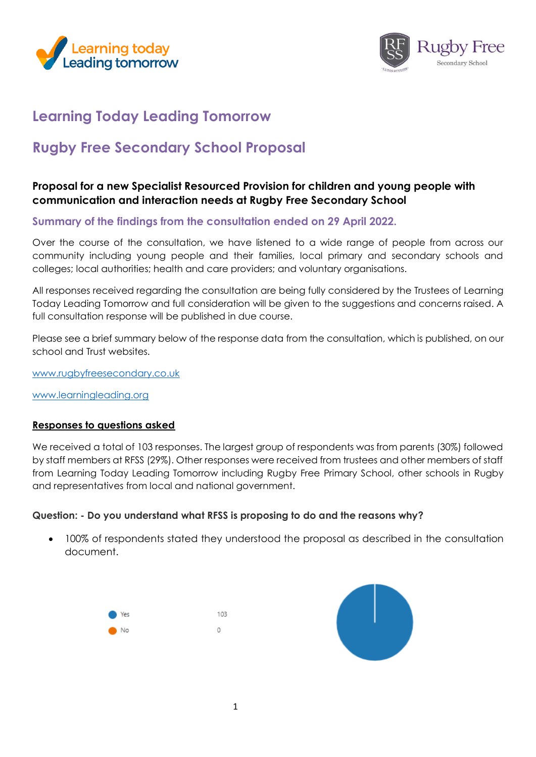



## **Learning Today Leading Tomorrow**

# **Rugby Free Secondary School Proposal**

### **Proposal for a new Specialist Resourced Provision for children and young people with communication and interaction needs at Rugby Free Secondary School**

#### **Summary of the findings from the consultation ended on 29 April 2022.**

Over the course of the consultation, we have listened to a wide range of people from across our community including young people and their families, local primary and secondary schools and colleges; local authorities; health and care providers; and voluntary organisations.

All responses received regarding the consultation are being fully considered by the Trustees of Learning Today Leading Tomorrow and full consideration will be given to the suggestions and concerns raised. A full consultation response will be published in due course.

Please see a brief summary below of the response data from the consultation, which is published, on our school and Trust websites.

[www.rugbyfreesecondary.co.uk](http://www.rugbyfreesecondary.co.uk/)

[www.learningleading.org](http://www.learningleading.org/)

#### **Responses to questions asked**

We received a total of 103 responses. The largest group of respondents was from parents (30%) followed by staff members at RFSS (29%). Other responses were received from trustees and other members of staff from Learning Today Leading Tomorrow including Rugby Free Primary School, other schools in Rugby and representatives from local and national government.

#### **Question: - Do you understand what RFSS is proposing to do and the reasons why?**

• 100% of respondents stated they understood the proposal as described in the consultation document.



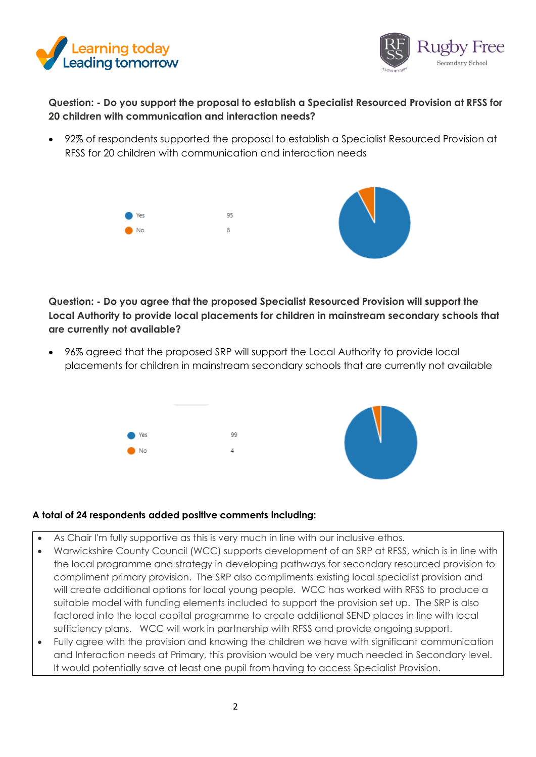



**Question: - Do you support the proposal to establish a Specialist Resourced Provision at RFSS for 20 children with communication and interaction needs?** 

• 92% of respondents supported the proposal to establish a Specialist Resourced Provision at RFSS for 20 children with communication and interaction needs



**Question: - Do you agree that the proposed Specialist Resourced Provision will support the Local Authority to provide local placements for children in mainstream secondary schools that are currently not available?**

• 96% agreed that the proposed SRP will support the Local Authority to provide local placements for children in mainstream secondary schools that are currently not available



#### **A total of 24 respondents added positive comments including:**

- As Chair I'm fully supportive as this is very much in line with our inclusive ethos.
- Warwickshire County Council (WCC) supports development of an SRP at RFSS, which is in line with the local programme and strategy in developing pathways for secondary resourced provision to compliment primary provision. The SRP also compliments existing local specialist provision and will create additional options for local young people. WCC has worked with RFSS to produce a suitable model with funding elements included to support the provision set up. The SRP is also factored into the local capital programme to create additional SEND places in line with local sufficiency plans. WCC will work in partnership with RFSS and provide ongoing support.
- Fully agree with the provision and knowing the children we have with significant communication and Interaction needs at Primary, this provision would be very much needed in Secondary level. It would potentially save at least one pupil from having to access Specialist Provision.